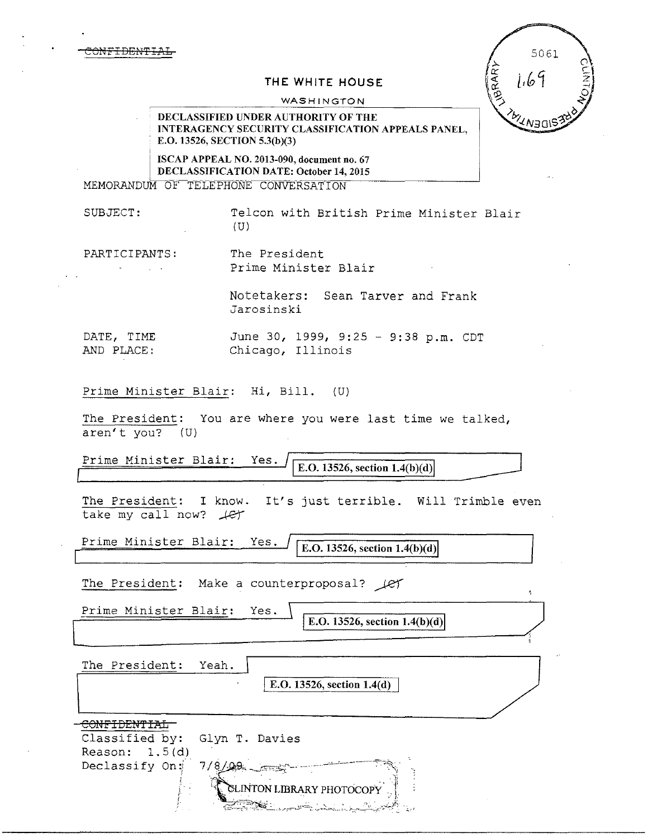CONFIDENTIAL

## **THE WHITE HOUSE**

WASHINGTON

5061 **FRARY**  $1.69$ '∧∋o\

## DECLASSIFIED UNDER AUTHORITY OF THE JNTERAGENCY SECURITY CLASSIFICATION APPEALS PANEL, E.O. 13526, SECTION 5.3(b)(3)

ISCAP APPEAL NO. 2013-090, document no. 67 DECLASSIFICATION DATE: October 14, 2015 MEMORANDUM OF TELEPHONE CONVERSATION

SUBJECT: Telcon with British Prime Minister Blair (U)

I

PARTICIPANTS: The President Prime Minister Blair

> Notetakers: Sean Tarver and Frank Jarosinski

DATE, TIME June 30, 1999, 9:25 - 9:38 p.m. CDT AND PLACE: Chicago, Illinois

Prime Minister Blair: Hi, Bill. (U}

The President: You are where you were last time we talked, aren't you? (U)

<u>Prime Minister Blair: Yes.</u>  $\sqrt{\frac{E.D. 13526, section 1.4(b)(d)}{E.D. 13526, section 1.4(b)(d)}}$ 

The President: I know. It's just terrible. Will Trimble even take my call now?  $#$ 

Prime Minister Blair: Yes.  $\int$  [E.O. 13526, section 1.4(b)(d)

The President: Make a counterproposal?  $\mathcal{L}$ 

Prime Minister Blair: Yes.

E.O. 13526, section  $1.4(b)(d)$ 

The President: Yeah.

 $\vert$  E.O. 13526, section 1.4(d)

' *r* . <;?.-~,~:~~:... .•*.,,,-c.••;;.,* .,-~,~...*:..* ;,.,..~/·.4'~

| Classified by: Glyn T. Davies |                                  |
|-------------------------------|----------------------------------|
| Reason: $1.5(d)$              |                                  |
| Declassify On: 7/8/09 _____   |                                  |
|                               |                                  |
|                               | <b>ELINTON LIBRARY PHOTOCOPY</b> |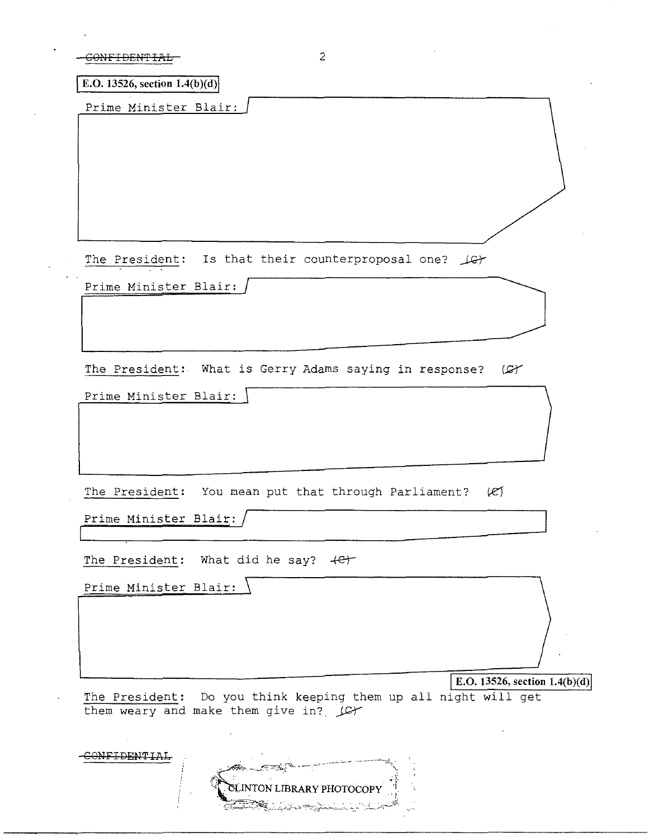**E.O.** 13526, section  $1.4(b)(d)$ 

Prime Minister Blair:

The President: Is that their counterproposal one?  $\mathcal{L}$ 

Prime Minister Blair: /

The President: What is Gerry Adams saying in response?  $(\mathcal{L}f)$ 

Prime Minister Blair: |

The President: You mean put that through Parliament?  $(2)$ 

Prime Minister Blair: /

The President: What did he say?  $+e^+$ 

Prime Minister Blair: E.O. 13526, section 1.4(b)(d)

The President: Do you think keeping them up all night will get them weary and make them give in?  $\mu$ 

| المنكوسين                                                                                                             |  |
|-----------------------------------------------------------------------------------------------------------------------|--|
|                                                                                                                       |  |
| <b>LINTON LIBRARY PHOTOCOPY</b>                                                                                       |  |
| <b>Republications in the state of the second state of the second state of the second state of the second state of</b> |  |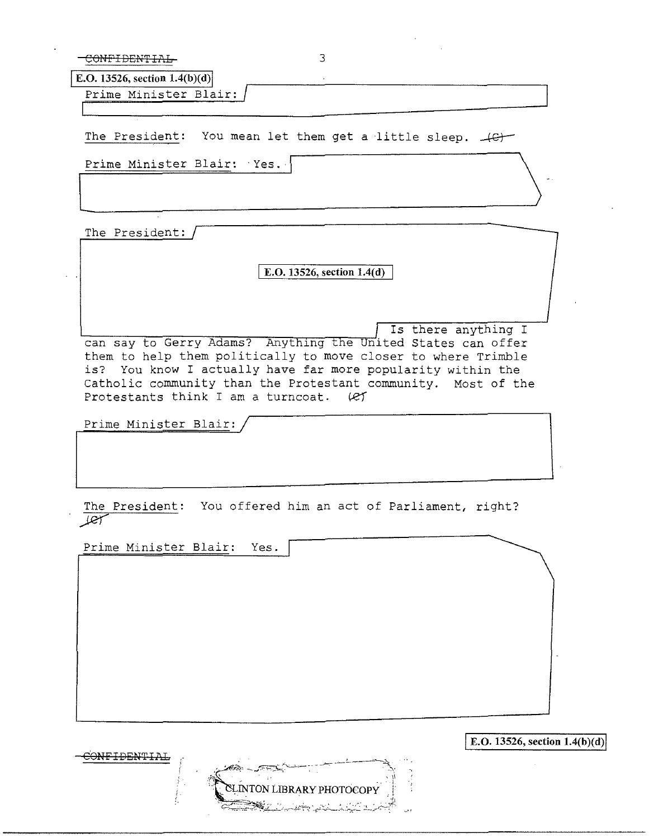CONFIDENTIAL 3

| E.O. 13526, section $1.4(b)(d)$ |  |
|---------------------------------|--|
| Prime Minister Blair:           |  |
|                                 |  |

The President: You mean let them get a little sleep.  $\downarrow$ G $\downarrow$ 

Prime Minister Blair: Yes. Prime Minister Blair: Yes.

The President:

[ **E.O. 13526, section 1.4(d)** 

Is there anything I

can say to Gerry Adams? Anything the United States can offer them to help them politically to move closer to where Trimble is? You know I actually have far more popularity within the Catholic community than the Protestant community. Most of the Protestants think I am a turncoat.  $(ef)$ 

Prime Minister Blair:

The President: You offered him an act of Parliament, right? لبن  $\cal{L}$ 

Prime Minister Blair: Yes.



**E.O. 13526, section 1.4(b)(d)**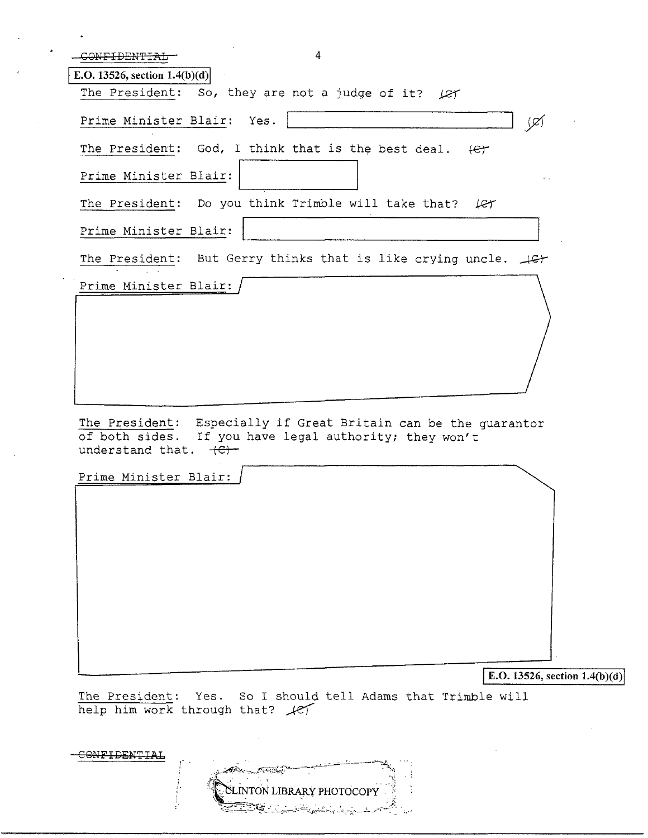| 4<br>CONFIDENTIAL                                                                                                                                        |
|----------------------------------------------------------------------------------------------------------------------------------------------------------|
| E.O. 13526, section $1.4(b)(d)$                                                                                                                          |
| The President: So, they are not a judge of it? $\text{Ler}$                                                                                              |
| Prime Minister Blair: Yes.<br>(⊄)                                                                                                                        |
| The President: God, I think that is the best deal. $\left\lbrace \in \right\rbrace$                                                                      |
| Prime Minister Blair:                                                                                                                                    |
| The President: Do you think Trimble will take that?<br>let                                                                                               |
| Prime Minister Blair:                                                                                                                                    |
| The President: But Gerry thinks that is like crying uncle. $\downarrow$ G+                                                                               |
| Prime Minister Blair:                                                                                                                                    |
|                                                                                                                                                          |
|                                                                                                                                                          |
|                                                                                                                                                          |
|                                                                                                                                                          |
| The President: Especially if Great Britain can be the quarantor<br>If you have legal authority; they won't<br>of both sides.<br>understand that.<br>$+e$ |
| Prime Minister Blair:                                                                                                                                    |
|                                                                                                                                                          |
|                                                                                                                                                          |
|                                                                                                                                                          |
|                                                                                                                                                          |
|                                                                                                                                                          |
|                                                                                                                                                          |
|                                                                                                                                                          |

E.O. 13526, section 1.4(b)(d)

The President: Yes. So I should tell Adams that Trimble will help him work through that?  $\mathcal{H}$ 

LINTON LIBRARY PHOTOCOP

CONFIDENTIAL